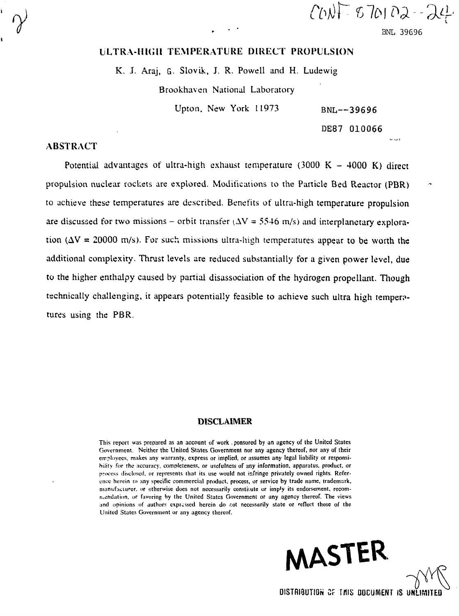$CNNF$   $670102 - 24$ 

BNL 39696

ون ب

# LLTRA-HUni TEMPERATURE DIRECT PROPULSION

K. J. Araj, G. Slovik, J. R. Powell and H. Ludewig

Brookhaven National Laboratory

Upton, New York 11973 BNL--39696

DE87 010066

### ABSTRACT

Potential advantages of ultra-high exhaust temperature  $(3000 \text{ K} - 4000 \text{ K})$  direct propulsion nuclear rockets are explored. Modifications to the Particle Bed Reactor (PBR) to achieve these temperatures are described. Benefits of ultra-high temperature propulsion are discussed for two missions – orbit transfer  $(\Delta V = 5546 \text{ m/s})$  and interplanetary exploration ( $\Delta V = 20000$  m/s). For such missions ultra-high temperatures appear to be worth the additional complexity. Thrust levels are reduced substantially for a given power level, due to the higher enthalpy caused by partial disassociation of the hydrogen propellant. Though technically challenging, it appears potentially feasible to achieve such ultra high temper? tures using the PBR.

#### DISCLAIMER

This report was prepared as an account of work . ponsorcd by an agency of the United States Government. Neither the United States Government nor any agency thereof, nor any of their employees, makes any warranty, express or implied, or assumes any legal liability or responsibility for the accuracy, completeness, or usefulness of any information, apparatus, product, or process disclosed, or represents that its use would not infringe privately owned rights. Reference herein io any specific commercial product, process, or service by trade name, trademark, manufacturer, or otherwise does not necessarily constitute or imply its endorsement, recomniendation, or favoring by the United States Government or any agency thereof. The views and opinions of authors expressed herein do r.ot necessarily state or reflect those of the United States Government or any agency thereof.

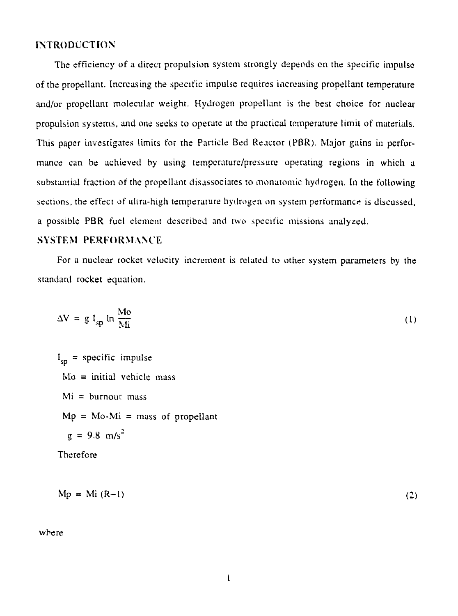### **INTRODUCTION**

The efficiency of a direct propulsion system strongly depends on the specific impulse of the propellant. Increasing the specific impulse requires increasing propellant temperature and/or propellant molecular weight. Hydrogen propellant is the best choice for nuclear propulsion systems, and one seeks to operate at the practical temperature limit of materials. This paper investigates limits for the Panicle Bed Reactor (PBR). Major gains in performance can be achieved by using temperature/pressure operating regions in which a substantial fraction of the propellant disassociates to monatomic hydrogen. In the following sections, the effect of ultra-high temperature hydrogen on system performance is discussed, a possible PBR fuel element described and two specific missions analyzed.

### SYSTEM PERFORMANCE

For a nuclear rocket velocity increment is related to other system parameters by the standard rocket equation.

$$
\Delta V = g I_{sp} \ln \frac{M \sigma}{M i}
$$
 (1)

 $I_{\rm sn}$  = specific impulse  $Mo = initial$  vehicle mass  $Mi = burnout$  mass  $Mp = Mo-Mi = mass of propellant$  $g = 9.8$  m/s<sup>2</sup> Therefore

 $Mp = Mi (R-1)$  (2)

where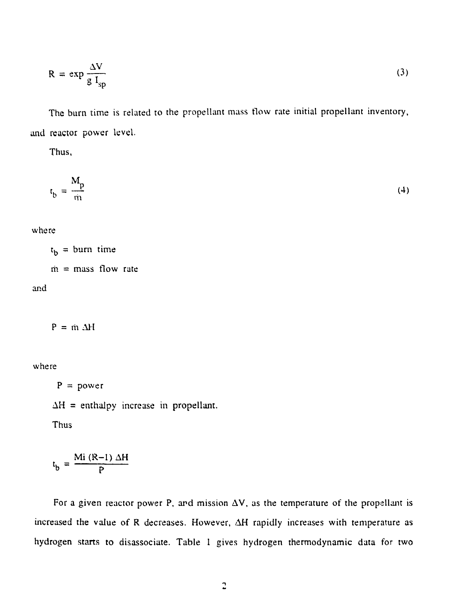$$
R = \exp \frac{\Delta V}{g I_{sp}}
$$
 (3)

The burn time is related to the propellant mass tlow rate initial propellant inventory, and reactor power level.

Thus,

$$
t_b = \frac{M_p}{m}
$$
 (4)

where

 $\mathfrak{r}_{\mathfrak{b}} =$  burn time  $\dot{m}$  = mass flow rate

and

 $P = m \Delta H$ 

where

 $P = power$ 

 $\Delta H$  = enthalpy increase in propellant.

Thus

$$
t_{b} = \frac{Mi (R-1) \Delta H}{P}
$$

For a given reactor power P, and mission  $\Delta V$ , as the temperature of the propellant is increased the value of R decreases. However, AH rapidly increases with temperature as hydrogen starts to disassociate. Table 1 gives hydrogen thermodynamic data for two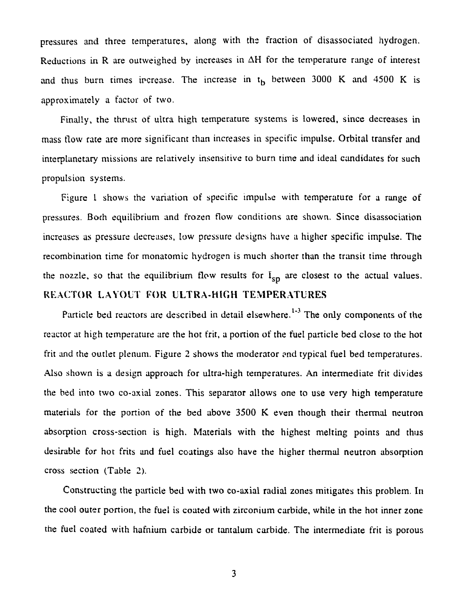pressures and three temperatures, along with the fraction of disassociated hydrogen. Reductions in R are outweighed by increases in  $\Delta H$  for the temperature range of interest and thus burn times increase. The increase in  $t<sub>b</sub>$  between 3000 K and 4500 K is approximately a factor of two.

Finally, the thrust of ultra high temperature systems is lowered, since decreases in mass flow rate are more significant than increases in specific impulse. Orbital transfer and interplanetary missions are relatively insensitive to burn time and ideal candidates for such propulsion systems.

Figure I shows the variation of specific impulse with temperature for a range of pressures. Both equilibrium and frozen flow conditions are shown. Since disassociation increases as pressure decreases, low pressure designs have a higher specific impulse. The recombination time for monatomic hydrogen is much shorter than the transit time through the nozzle, so that the equilibrium flow results for  $I_{SD}$  are closest to the actual values. REACTOR LAYOUT FOR ULTRA-HIGH TEMPERATURES

Particle bed reactors are described in detail elsewhere.<sup>1-3</sup> The only components of the reactor at high temperature are the hot frit, a portion of the fuel particle bed close to the hot frit and the outlet plenum. Figure 2 shows the moderator and typical fuel bed temperatures. Also shown is a design approach for ultra-high temperatures. An intermediate frit divides the bed into two co-axial zones. This separator allows one to use very high temperature materials for the portion of the bed above 3500 K even though their thermal neutron absorption cross-section is high. Materials with the highest melting points and thus desirable for hot frits and fuel coatings also have the higher thermal neutron absorption cross section (Table 2).

Constructing the particle bed with two co-axial radial zones mitigates this problem. In the cool outer portion, the fuel is coated with zirconium carbide, while in the hot inner zone the fuel coated with hafnium carbide or tantalum carbide. The intermediate frit is porous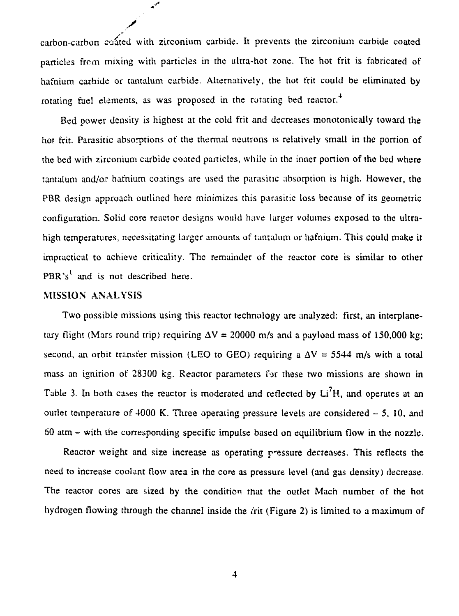carbon-carbon coated with zirconium carbide. It prevents the zirconium carbide coated particles frcm mixing with particles in the ultra-hot zone. The hot frit is fabricated of hafnium carbide or tantalum carbide. Alternatively, the hot frit could be eliminated by rotating fuel elements, as was proposed in the rotating bed reactor.

 $\mathbf{u}^{ab}$ 

Bed power density is highest at the cold frit and decreases monotonically toward the hor frit. Parasitic absorptions of the thermal neutrons is relatively small in the portion of the bed with zirconium carbide coated panicles, while in the inner portion of the bed where tantalum and/or hafnium coatings are used the parasitic absorption is high. However, the PBR design approach outlined here minimizes this parasitic loss because of its geometric configuration. Solid core reactor designs would have larger volumes exposed to the ultrahigh temperatures, necessitating larger amounts of tantalum or hafnium. This could make it impractical to achieve criticality. The remainder of the reactor core is similar to other PBR's<sup>1</sup> and is not described here.

# MISSION ANALYSIS

Two possible missions using this reactor technology are analyzed: first, an interplanetary flight (Mars round trip) requiring  $\Delta V = 20000$  m/s and a payload mass of 150,000 kg; second, an orbit transfer mission (LEO to GEO) requiring a  $\Delta V = 5544$  m/s with a total mass an ignition of 28300 kg. Reactor parameters for these two missions are shown in Table 3. In both cases the reactor is moderated and reflected by  $Li<sup>7</sup>H$ , and operates at an outlet temperature of  $4000$  K. Three operating pressure levels are considered  $-5$ , 10, and 6Q atm - with the corresponding specific impulse based on equilibrium flow in the nozzle.

Reactor weight and size increase as operating p'essure decreases. This reflects the need to increase coolant flow area in rhe core as pressure level (and gas density) decrease. The reactor cores are sized by the condition that the outlet Mach number of the hot hydrogen flowing through the channel inside the *i*rit (Figure 2) is limited to a maximum of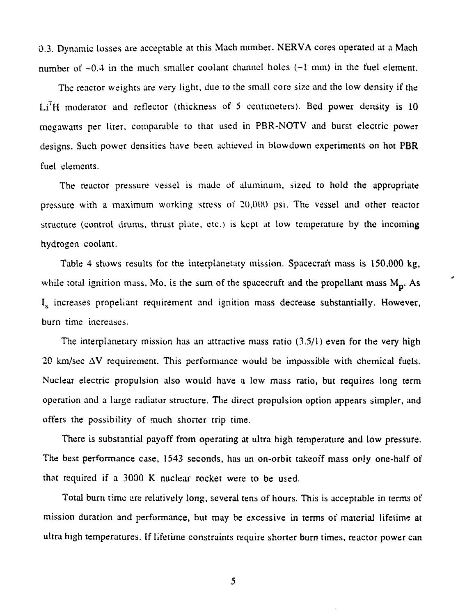0.3. Dynamic losses are acceptable at this Mach number. NERVA cores operated at a Mach number of  $-0.4$  in the much smaller coolant channel holes  $(-1 \text{ mm})$  in the fuel element.

The reactor weights are very light, due to the small core size and the low density if the Li<sup>7</sup>H moderator and reflector (thickness of 5 centimeters). Bed power density is 10 megawatts per liter, comparable to that used in PBR-NOTV and burst electric power designs. Such power densities have been achieved in blowdown experiments on hot PBR fuel elements.

The reactor pressure vessel is made of aluminum, sized to hold the appropriate pressure with a maximum working stress of  $20,000$  psi. The vessel and other reactor structure (control drums, thrust plate, etc.) is kept at low temperature by the incoming hydrogen coolant.

Table 4 shows results for the interplanetary mission. Spacecraft mass is 150,000 kg, while total ignition mass, Mo, is the sum of the spacecraft and the propellant mass  $M_p$ . As  $I_s$  increases propeliant requirement and ignition mass decrease substantially. However, burn time increases.

The interplanetary mission has an attractive mass ratio (3.5/1) even for the very high  $20 \text{ km/sec}$   $\Delta V$  requirement. This performance would be impossible with chemical fuels. Nuclear electric propulsion also would have a low mass ratio, but requires long term operation and a large radiator structure. The direct propulsion option appears simpler, and offers the possibility of much shorter trip time.

There is substantial payoff from operating at ultra high temperature and low pressure. The best performance case, 1543 seconds, has an on-orbit takeoff mass only one-half of that required if a 3000 K nuclear rocket were to be used.

Total burn time are relatively long, several tens of hours. This is acceptable in terms of mission duration and performance, but may be excessive in terms of material lifetime at ultra high temperatures. If lifetime constraints require shorter burn times, reactor power can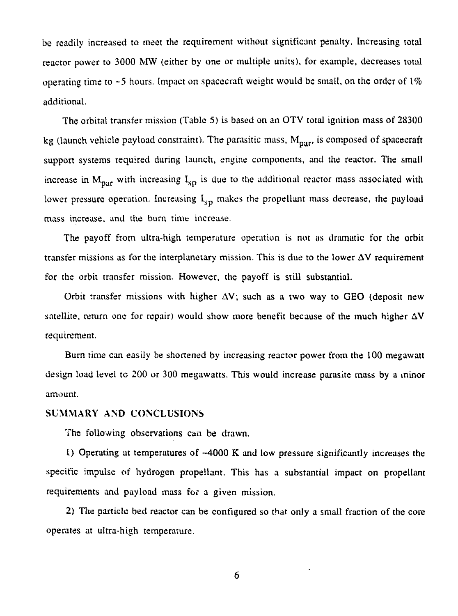be readily increased to meet the requirement without significant penalty. Increasing total reactor power to 3000 MW (either by one or multiple units), for example, decreases total operating time to ~5 hours. Impact on spacecraft weight would be small, on the order of *1%* additional.

The orbital transfer mission (Table 5) is based on an OTV total ignition mass of 283QQ kg (launch vehicle payload constraint). The parasitic mass,  $M_{\text{par}}$ , is composed of spacecraft support systems required during launch, engine components, and the reactor. The small increase in  $M_{\text{part}}$  with increasing  $I_{\text{SD}}$  is due to the additional reactor mass associated with lower pressure operation. Increasing  $I_{SD}$  makes the propellant mass decrease, the payload mass increase, and the burn time increase.

The payoff from ultra-high temperature operation is not as dramatic for the orbit transfer missions as for the interplanetary mission. This is due to the lower AV requirement for the orbit transfer mission. However, the payoff is still substantial.

Orbit transfer missions with higher  $\Delta V$ ; such as a two way to GEO (deposit new satellite, return one for repair) would show more benefit because of the much higher  $\Delta V$ requirement.

Burn time can easily be shortened by increasing reactor power from the 100 megawatt design load level to 200 or 300 megawatts. This would increase parasite mass by a minor amount.

### SUMMARY AND CONCLUSIONS

The following observations can be drawn.

1) Operating at temperatures of -4000 K and low pressure significantly increases the specific impulse of hydrogen propellant. This has a substantial impact on propellant requirements and payload mass for a given mission.

2) The particle bed reactor can be configured so that only a small fraction of the core operates at ultra-high temperature.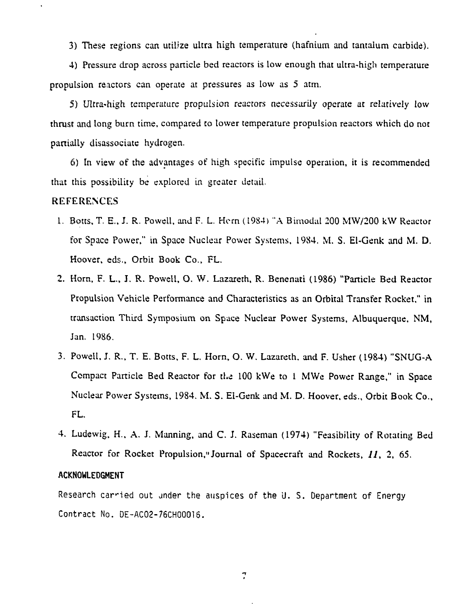3) These regions can utilize ultra high temperature (hafnium and tantalum carbide).

4) Pressure drop across panicle bed reactors is low enough that ultra-high temperature propulsion reactors can operate at pressures as low as 5 atm.

5) Ultra-high temperature propulsion reactors necessarily operate at relatively low thrust and long burn time, compared to lower temperature propulsion reactors which do not partially disassociate hydrogen,

6) In view of the advantages of high specific impulse operation, it is recommended that this possibility be explored in greater detail.

### REFERENCES

 $\epsilon$ 

- 1. Botts, T. E.. J. R. Powell, and F. L. Hern (1984) "A Bimodal 200 MW/200 kW Reactor for Space Power," in Space Nuclear Power Systems, 1984. M. S. El-Genk and M. D. Hoover, eds.. Orbit Book Co., FL.
- 2. Horn, F. L., I. R. Powell, O. W. Lazareth, R. Benenati (1986) "Panicle Bed Reactor Propulsion Vehicle Performance and Characteristics as an Orbital Transfer Rocket," in transaction Third Symposium on Space Nuclear Power Systems, Albuquerque, NM, Jan. 1986.
- 3. Powell, J. R., T. E. Botts, F. L. Horn, O. W. Lazareth, and F. Usher (1984) "SNUG-A Compact Panicle Bed Reactor for the 100 kWe to 1 MWe Power Range," in Space Nuclear Power Systems, 1984. M. S. Ei-Genk and M. D. Hoover, eds.. Orbit Book Co., FL.
- 4. Ludewig, H.. A. J. Manning, and C. J. Raseman (1974) "Feasibility of Rotating Bed Reactor for Rocket Propulsion," Journal of Spacecraft and Rockets, 11, 2, 65.

#### **ACKNOWLEDGMENT**

Research carried out under the auspices of the U. S. Department of Energy Contract No. DE-AC02-76CH00016.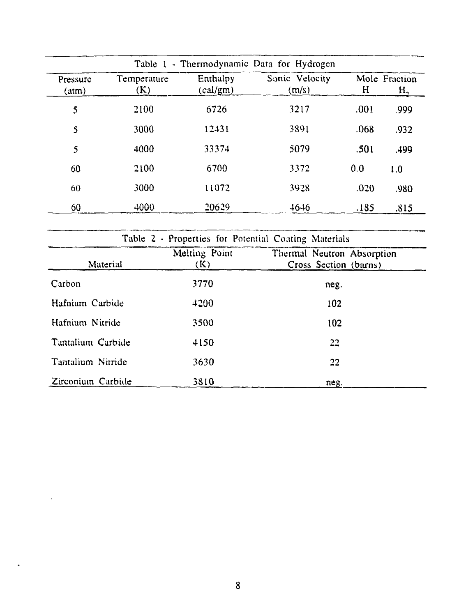|                   |                    |                      | Table 1 - Thermodynamic Data for Hydrogen |      |                                 |
|-------------------|--------------------|----------------------|-------------------------------------------|------|---------------------------------|
| Pressure<br>(atm) | Temperature<br>(K) | Enthalpy<br>(cal/gm) | Sonic Velocity<br>(m/s)                   | H    | Mole Fraction<br>H <sub>2</sub> |
| 5                 | 2100               | 6726                 | 3217                                      | .001 | .999                            |
| $\mathsf{S}$      | 3000               | 12431                | 3891                                      | .068 | .932                            |
| 5                 | 4000               | 33374                | 5079                                      | .501 | .499                            |
| 60                | 2100               | 6700                 | 3372                                      | 0,0  | 1.0                             |
| 60                | 3000               | 11072                | 3928                                      | .020 | .980                            |
| 60                | 4000               | 20629                | $-16-16$                                  | .185 | .815                            |

| Table 2 - Properties for Potential Coating Materials |                      |                                                     |  |  |
|------------------------------------------------------|----------------------|-----------------------------------------------------|--|--|
| Material                                             | Melting Point<br>(K) | Thermal Neutron Absorption<br>Cross Section (barns) |  |  |
| Carbon                                               | 3770                 | neg.                                                |  |  |
| Hafnium Carbide                                      | 4200                 | 102                                                 |  |  |
| Hafnium Nitride                                      | 3500                 | 102                                                 |  |  |
| Tantalium Carbide                                    | 4150                 | 22                                                  |  |  |
| Tantalium Nitride                                    | 3630                 | 22                                                  |  |  |
| Zirconium Carbide                                    | 3810                 | neg.                                                |  |  |

 $\overline{a}$ 

 $\bullet$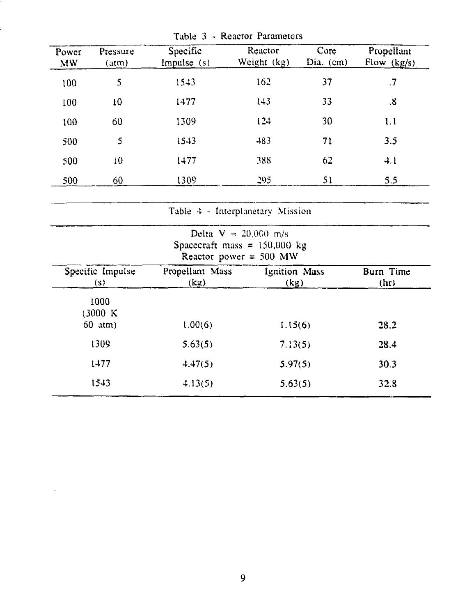| Power     | Pressure         | Specific        | Reactor                                                    | Core      | Propellant        |
|-----------|------------------|-----------------|------------------------------------------------------------|-----------|-------------------|
| <b>MW</b> | (atm)            | Impulse $(s)$   | Weight (kg)                                                | Dia. (cm) | Flow $(kg/s)$     |
| 100       | 5                | 1543            | 162                                                        | 37        | $\cdot$           |
|           | 10               | 1477            | 143                                                        | 33        | $\boldsymbol{.8}$ |
| 100       |                  |                 |                                                            |           |                   |
| 100       | 60               | 1309            | 124                                                        | 30        | 1.1               |
| 500       | $\mathsf{S}$     | 1543            | 483                                                        | 71        | 3,5               |
| 500       | 10               | 1477            | 388                                                        | 62        | $-1, 1$           |
| 500       | 60               | 1309            | 295                                                        | 51        | 5.5               |
|           |                  |                 |                                                            |           |                   |
|           |                  |                 | Table 4 - Interplanetary Mission                           |           |                   |
|           |                  |                 | Delta $V = 20,000$ m/s                                     |           |                   |
|           |                  |                 | Spacecraft mass = $150,000$ kg<br>Reactor power = $500$ MW |           |                   |
|           | Specific Impulse | Propellant Mass | Ignition Mass                                              |           | Burn Time         |
|           | (s)              | (kg)            | (kg)                                                       |           | (hr)              |
|           | 1000             |                 |                                                            |           |                   |
|           | (3000 K          |                 |                                                            |           |                   |
|           | $60$ atm)        | 1.00(6)         | 1.15(6)                                                    |           | 28.2              |
|           | 1309             | 5.63(5)         | 7.13(5)                                                    |           | 28.4              |
|           | 1477             | 4.47(5)         | 5.97(5)                                                    |           | 30.3              |
|           | 1543             | 4.13(5)         | 5.63(5)                                                    |           | 32.8              |

Table 3 - Reactor Parameters

 $\mathcal{A}$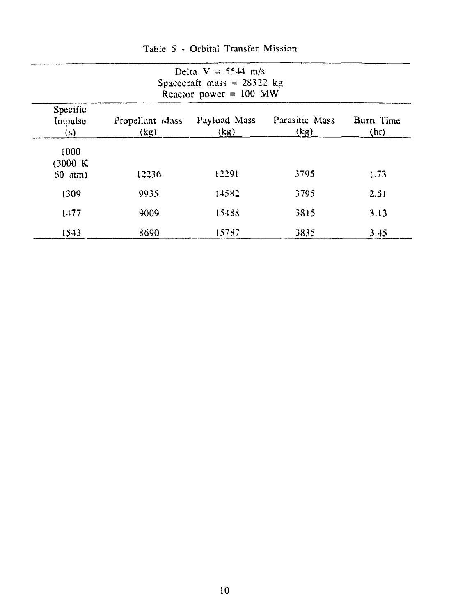| Delta $V = 5544$ m/s<br>Spacecraft mass = $28322$ kg<br>Reactor power = $100$ MW |                         |                      |                        |                   |  |
|----------------------------------------------------------------------------------|-------------------------|----------------------|------------------------|-------------------|--|
| Specific<br>Impulse<br>(s)                                                       | Propellant Mass<br>(kg) | Payload Mass<br>(kg) | Parasitic Mass<br>(kg) | Burn Time<br>(hr) |  |
| 1000<br>(3000 K)<br>60 atm)                                                      | 12236                   | 12291                | 3795                   | 1.73              |  |
| 1309                                                                             | 9935                    | 14582                | 3795                   | 2.51              |  |
| 1477                                                                             | 9009                    | 15488                | 3815                   | 3.13              |  |
| 1543                                                                             | 8690                    | 15787                | 3835                   | 3.45              |  |

Table 5 - Orbital Transfer Mission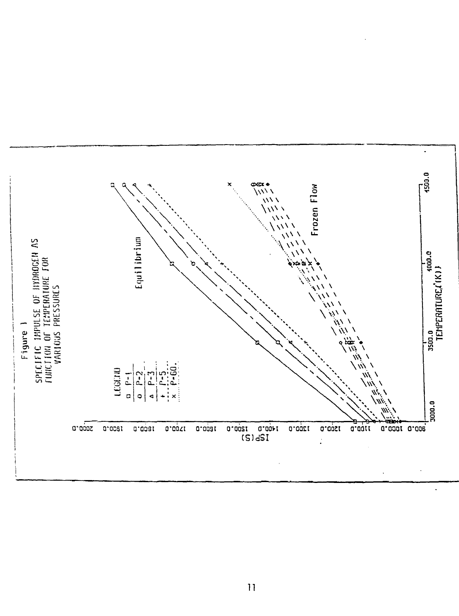